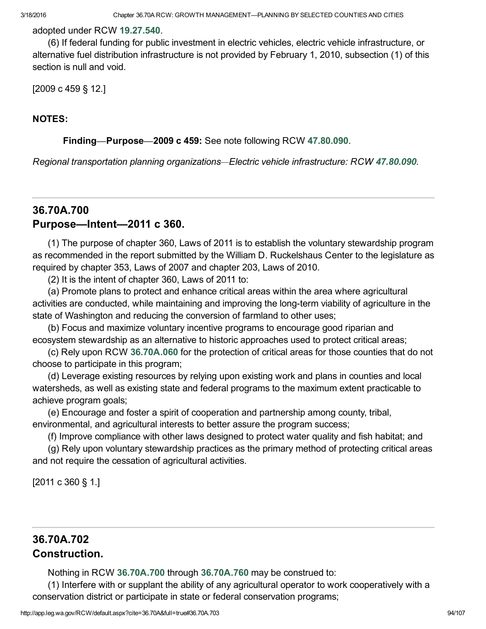#### adopted under RCW [19.27.540.](http://app.leg.wa.gov/RCW/default.aspx?cite=19.27.540)

(6) If federal funding for public investment in electric vehicles, electric vehicle infrastructure, or alternative fuel distribution infrastructure is not provided by February 1, 2010, subsection (1) of this section is null and void.

[2009 c 459 § 12.]

#### NOTES:

#### Finding—Purpose—2009 c 459: See note following RCW [47.80.090](http://app.leg.wa.gov/RCW/default.aspx?cite=47.80.090).

*Regional transportation planning organizations*—*Electric vehicle infrastructure: RCW [47.80.090.](http://app.leg.wa.gov/RCW/default.aspx?cite=47.80.090)*

## <span id="page-0-0"></span>36.70A.700 Purpose—Intent—2011 c 360.

(1) The purpose of chapter 360, Laws of 2011 is to establish the voluntary stewardship program as recommended in the report submitted by the William D. Ruckelshaus Center to the legislature as required by chapter 353, Laws of 2007 and chapter 203, Laws of 2010.

(2) It is the intent of chapter 360, Laws of 2011 to:

(a) Promote plans to protect and enhance critical areas within the area where agricultural activities are conducted, while maintaining and improving the long-term viability of agriculture in the state of Washington and reducing the conversion of farmland to other uses;

(b) Focus and maximize voluntary incentive programs to encourage good riparian and ecosystem stewardship as an alternative to historic approaches used to protect critical areas;

(c) Rely upon RCW [36.70A.060](#page--1-0) for the protection of critical areas for those counties that do not choose to participate in this program;

(d) Leverage existing resources by relying upon existing work and plans in counties and local watersheds, as well as existing state and federal programs to the maximum extent practicable to achieve program goals;

(e) Encourage and foster a spirit of cooperation and partnership among county, tribal, environmental, and agricultural interests to better assure the program success;

(f) Improve compliance with other laws designed to protect water quality and fish habitat; and

(g) Rely upon voluntary stewardship practices as the primary method of protecting critical areas and not require the cessation of agricultural activities.

[2011 c 360 § 1.]

## 36.70A.702 Construction.

Nothing in RCW [36.70A.700](#page-0-0) through [36.70A.760](#page-10-0) may be construed to:

(1) Interfere with or supplant the ability of any agricultural operator to work cooperatively with a conservation district or participate in state or federal conservation programs;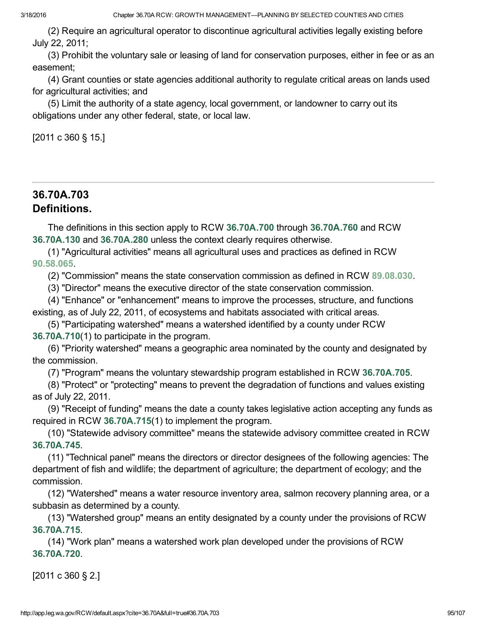(2) Require an agricultural operator to discontinue agricultural activities legally existing before July 22, 2011;

(3) Prohibit the voluntary sale or leasing of land for conservation purposes, either in fee or as an easement;

(4) Grant counties or state agencies additional authority to regulate critical areas on lands used for agricultural activities; and

(5) Limit the authority of a state agency, local government, or landowner to carry out its obligations under any other federal, state, or local law.

[2011 c 360 § 15.]

# 36.70A.703 Definitions.

The definitions in this section apply to RCW [36.70A.700](#page-0-0) through [36.70A.760](#page-10-0) and RCW [36.70A.130](#page--1-1) and [36.70A.280](#page--1-2) unless the context clearly requires otherwise.

(1) "Agricultural activities" means all agricultural uses and practices as defined in RCW [90.58.065](http://app.leg.wa.gov/RCW/default.aspx?cite=90.58.065).

(2) "Commission" means the state conservation commission as defined in RCW [89.08.030.](http://app.leg.wa.gov/RCW/default.aspx?cite=89.08.030)

(3) "Director" means the executive director of the state conservation commission.

(4) "Enhance" or "enhancement" means to improve the processes, structure, and functions existing, as of July 22, 2011, of ecosystems and habitats associated with critical areas.

(5) "Participating watershed" means a watershed identified by a county under RCW [36.70A.710](#page-3-0)(1) to participate in the program.

(6) "Priority watershed" means a geographic area nominated by the county and designated by the commission.

(7) "Program" means the voluntary stewardship program established in RCW [36.70A.705.](#page-2-0)

(8) "Protect" or "protecting" means to prevent the degradation of functions and values existing as of July 22, 2011.

(9) "Receipt of funding" means the date a county takes legislative action accepting any funds as required in RCW [36.70A.715\(](#page-4-0)1) to implement the program.

(10) "Statewide advisory committee" means the statewide advisory committee created in RCW [36.70A.745](#page-9-0).

(11) "Technical panel" means the directors or director designees of the following agencies: The department of fish and wildlife; the department of agriculture; the department of ecology; and the commission.

(12) "Watershed" means a water resource inventory area, salmon recovery planning area, or a subbasin as determined by a county.

(13) "Watershed group" means an entity designated by a county under the provisions of RCW [36.70A.715](#page-4-0).

(14) "Work plan" means a watershed work plan developed under the provisions of RCW [36.70A.720](#page-5-0).

[2011 c 360 § 2.]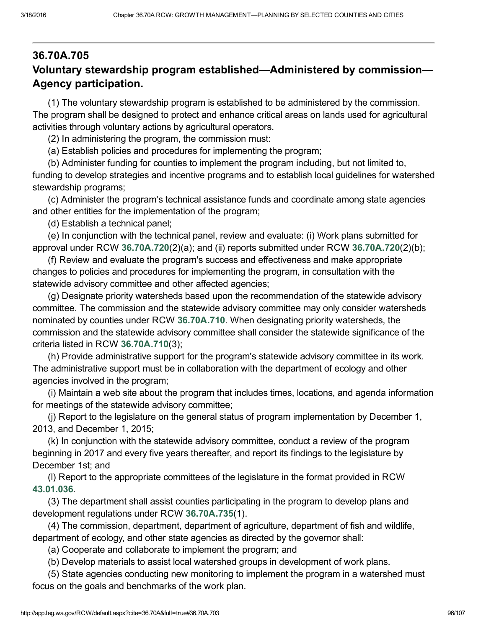# <span id="page-2-0"></span>36.70A.705 Voluntary stewardship program established—Administered by commission— Agency participation.

(1) The voluntary stewardship program is established to be administered by the commission. The program shall be designed to protect and enhance critical areas on lands used for agricultural activities through voluntary actions by agricultural operators.

(2) In administering the program, the commission must:

(a) Establish policies and procedures for implementing the program;

(b) Administer funding for counties to implement the program including, but not limited to, funding to develop strategies and incentive programs and to establish local guidelines for watershed stewardship programs;

(c) Administer the program's technical assistance funds and coordinate among state agencies and other entities for the implementation of the program;

(d) Establish a technical panel;

(e) In conjunction with the technical panel, review and evaluate: (i) Work plans submitted for approval under RCW [36.70A.720](#page-5-0)(2)(a); and (ii) reports submitted under RCW [36.70A.720\(](#page-5-0)2)(b);

(f) Review and evaluate the program's success and effectiveness and make appropriate changes to policies and procedures for implementing the program, in consultation with the statewide advisory committee and other affected agencies;

(g) Designate priority watersheds based upon the recommendation of the statewide advisory committee. The commission and the statewide advisory committee may only consider watersheds nominated by counties under RCW [36.70A.710.](#page-3-0) When designating priority watersheds, the commission and the statewide advisory committee shall consider the statewide significance of the criteria listed in RCW [36.70A.710](#page-3-0)(3);

(h) Provide administrative support for the program's statewide advisory committee in its work. The administrative support must be in collaboration with the department of ecology and other agencies involved in the program;

(i) Maintain a web site about the program that includes times, locations, and agenda information for meetings of the statewide advisory committee;

(j) Report to the legislature on the general status of program implementation by December 1, 2013, and December 1, 2015;

(k) In conjunction with the statewide advisory committee, conduct a review of the program beginning in 2017 and every five years thereafter, and report its findings to the legislature by December 1st; and

(l) Report to the appropriate committees of the legislature in the format provided in RCW [43.01.036](http://app.leg.wa.gov/RCW/default.aspx?cite=43.01.036).

(3) The department shall assist counties participating in the program to develop plans and development regulations under RCW [36.70A.735](#page-7-0)(1).

(4) The commission, department, department of agriculture, department of fish and wildlife, department of ecology, and other state agencies as directed by the governor shall:

(a) Cooperate and collaborate to implement the program; and

(b) Develop materials to assist local watershed groups in development of work plans.

(5) State agencies conducting new monitoring to implement the program in a watershed must focus on the goals and benchmarks of the work plan.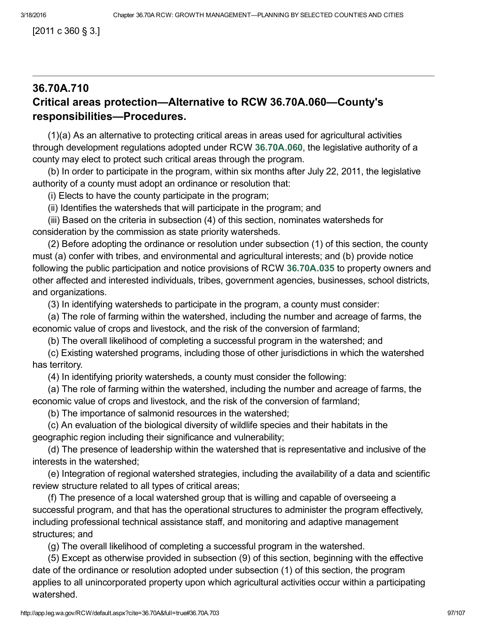[2011 c 360 § 3.]

#### <span id="page-3-0"></span>36.70A.710 Critical areas protection—Alternative to RCW 36.70A.060—County's responsibilities—Procedures.

(1)(a) As an alternative to protecting critical areas in areas used for agricultural activities through development regulations adopted under RCW [36.70A.060](#page--1-0), the legislative authority of a county may elect to protect such critical areas through the program.

(b) In order to participate in the program, within six months after July 22, 2011, the legislative authority of a county must adopt an ordinance or resolution that:

(i) Elects to have the county participate in the program;

(ii) Identifies the watersheds that will participate in the program; and

(iii) Based on the criteria in subsection (4) of this section, nominates watersheds for consideration by the commission as state priority watersheds.

(2) Before adopting the ordinance or resolution under subsection (1) of this section, the county must (a) confer with tribes, and environmental and agricultural interests; and (b) provide notice following the public participation and notice provisions of RCW [36.70A.035](#page--1-3) to property owners and other affected and interested individuals, tribes, government agencies, businesses, school districts, and organizations.

(3) In identifying watersheds to participate in the program, a county must consider:

(a) The role of farming within the watershed, including the number and acreage of farms, the economic value of crops and livestock, and the risk of the conversion of farmland;

(b) The overall likelihood of completing a successful program in the watershed; and

(c) Existing watershed programs, including those of other jurisdictions in which the watershed has territory.

(4) In identifying priority watersheds, a county must consider the following:

(a) The role of farming within the watershed, including the number and acreage of farms, the economic value of crops and livestock, and the risk of the conversion of farmland;

(b) The importance of salmonid resources in the watershed;

(c) An evaluation of the biological diversity of wildlife species and their habitats in the geographic region including their significance and vulnerability;

(d) The presence of leadership within the watershed that is representative and inclusive of the interests in the watershed;

(e) Integration of regional watershed strategies, including the availability of a data and scientific review structure related to all types of critical areas;

(f) The presence of a local watershed group that is willing and capable of overseeing a successful program, and that has the operational structures to administer the program effectively, including professional technical assistance staff, and monitoring and adaptive management structures; and

(g) The overall likelihood of completing a successful program in the watershed.

(5) Except as otherwise provided in subsection (9) of this section, beginning with the effective date of the ordinance or resolution adopted under subsection (1) of this section, the program applies to all unincorporated property upon which agricultural activities occur within a participating watershed.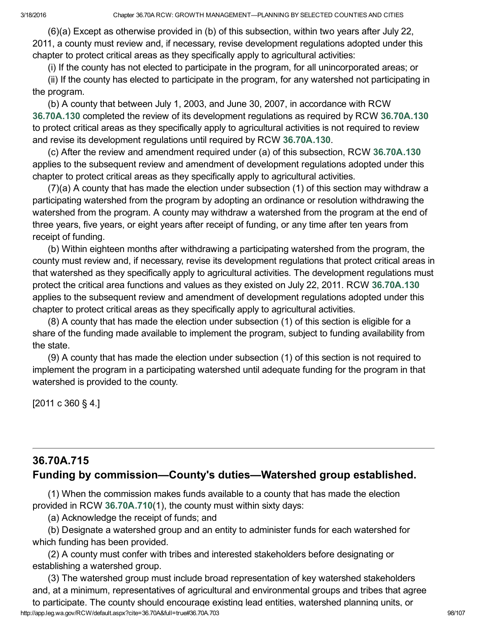(6)(a) Except as otherwise provided in (b) of this subsection, within two years after July 22, 2011, a county must review and, if necessary, revise development regulations adopted under this chapter to protect critical areas as they specifically apply to agricultural activities:

(i) If the county has not elected to participate in the program, for all unincorporated areas; or

(ii) If the county has elected to participate in the program, for any watershed not participating in the program.

(b) A county that between July 1, 2003, and June 30, 2007, in accordance with RCW [36.70A.130](#page--1-1) completed the review of its development regulations as required by RCW [36.70A.130](#page--1-1) to protect critical areas as they specifically apply to agricultural activities is not required to review and revise its development regulations until required by RCW [36.70A.130.](#page--1-1)

(c) After the review and amendment required under (a) of this subsection, RCW [36.70A.130](#page--1-1) applies to the subsequent review and amendment of development regulations adopted under this chapter to protect critical areas as they specifically apply to agricultural activities.

(7)(a) A county that has made the election under subsection (1) of this section may withdraw a participating watershed from the program by adopting an ordinance or resolution withdrawing the watershed from the program. A county may withdraw a watershed from the program at the end of three years, five years, or eight years after receipt of funding, or any time after ten years from receipt of funding.

(b) Within eighteen months after withdrawing a participating watershed from the program, the county must review and, if necessary, revise its development regulations that protect critical areas in that watershed as they specifically apply to agricultural activities. The development regulations must protect the critical area functions and values as they existed on July 22, 2011. RCW [36.70A.130](#page--1-1) applies to the subsequent review and amendment of development regulations adopted under this chapter to protect critical areas as they specifically apply to agricultural activities.

(8) A county that has made the election under subsection (1) of this section is eligible for a share of the funding made available to implement the program, subject to funding availability from the state.

(9) A county that has made the election under subsection (1) of this section is not required to implement the program in a participating watershed until adequate funding for the program in that watershed is provided to the county.

[2011 c 360 § 4.]

## <span id="page-4-0"></span>36.70A.715 Funding by commission—County's duties—Watershed group established.

(1) When the commission makes funds available to a county that has made the election provided in RCW [36.70A.710](#page-3-0)(1), the county must within sixty days:

(a) Acknowledge the receipt of funds; and

(b) Designate a watershed group and an entity to administer funds for each watershed for which funding has been provided.

(2) A county must confer with tribes and interested stakeholders before designating or establishing a watershed group.

http://app.leg.wa.gov/RCW/default.aspx?cite=36.70A&full=true#36.70A.703 98/107 (3) The watershed group must include broad representation of key watershed stakeholders and, at a minimum, representatives of agricultural and environmental groups and tribes that agree to participate. The county should encourage existing lead entities, watershed planning units, or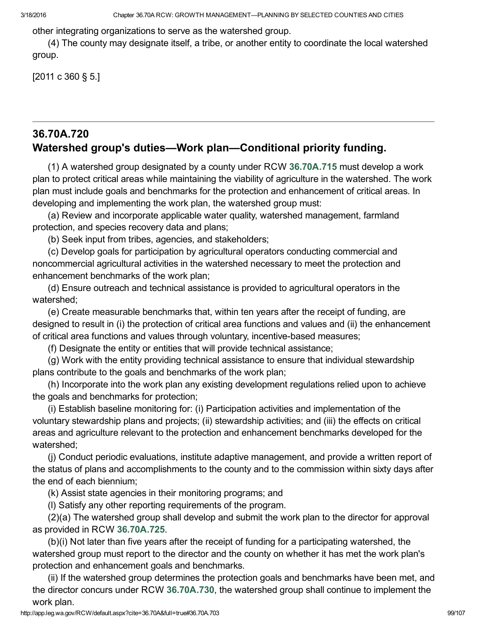other integrating organizations to serve as the watershed group.

(4) The county may designate itself, a tribe, or another entity to coordinate the local watershed group.

[2011 c 360 § 5.]

## <span id="page-5-0"></span>36.70A.720 Watershed group's duties—Work plan—Conditional priority funding.

(1) A watershed group designated by a county under RCW [36.70A.715](#page-4-0) must develop a work plan to protect critical areas while maintaining the viability of agriculture in the watershed. The work plan must include goals and benchmarks for the protection and enhancement of critical areas. In developing and implementing the work plan, the watershed group must:

(a) Review and incorporate applicable water quality, watershed management, farmland protection, and species recovery data and plans;

(b) Seek input from tribes, agencies, and stakeholders;

(c) Develop goals for participation by agricultural operators conducting commercial and noncommercial agricultural activities in the watershed necessary to meet the protection and enhancement benchmarks of the work plan;

(d) Ensure outreach and technical assistance is provided to agricultural operators in the watershed;

(e) Create measurable benchmarks that, within ten years after the receipt of funding, are designed to result in (i) the protection of critical area functions and values and (ii) the enhancement of critical area functions and values through voluntary, incentive-based measures;

(f) Designate the entity or entities that will provide technical assistance;

(g) Work with the entity providing technical assistance to ensure that individual stewardship plans contribute to the goals and benchmarks of the work plan;

(h) Incorporate into the work plan any existing development regulations relied upon to achieve the goals and benchmarks for protection;

(i) Establish baseline monitoring for: (i) Participation activities and implementation of the voluntary stewardship plans and projects; (ii) stewardship activities; and (iii) the effects on critical areas and agriculture relevant to the protection and enhancement benchmarks developed for the watershed;

(j) Conduct periodic evaluations, institute adaptive management, and provide a written report of the status of plans and accomplishments to the county and to the commission within sixty days after the end of each biennium;

(k) Assist state agencies in their monitoring programs; and

(l) Satisfy any other reporting requirements of the program.

(2)(a) The watershed group shall develop and submit the work plan to the director for approval as provided in RCW [36.70A.725.](#page-6-0)

(b)(i) Not later than five years after the receipt of funding for a participating watershed, the watershed group must report to the director and the county on whether it has met the work plan's protection and enhancement goals and benchmarks.

(ii) If the watershed group determines the protection goals and benchmarks have been met, and the director concurs under RCW [36.70A.730](#page-7-1), the watershed group shall continue to implement the work plan.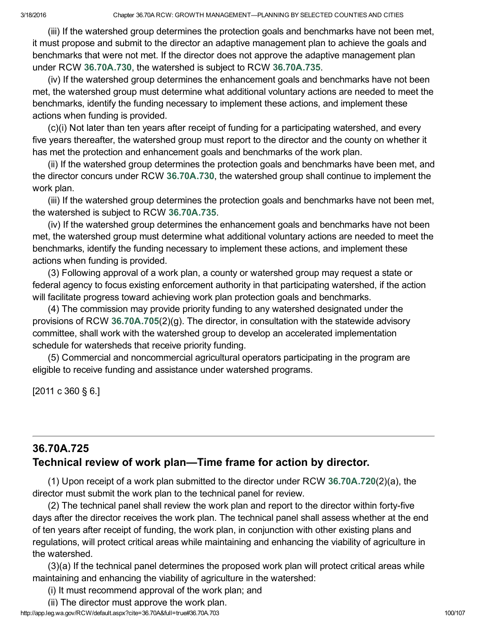(iii) If the watershed group determines the protection goals and benchmarks have not been met, it must propose and submit to the director an adaptive management plan to achieve the goals and benchmarks that were not met. If the director does not approve the adaptive management plan under RCW [36.70A.730,](#page-7-1) the watershed is subject to RCW [36.70A.735.](#page-7-0)

(iv) If the watershed group determines the enhancement goals and benchmarks have not been met, the watershed group must determine what additional voluntary actions are needed to meet the benchmarks, identify the funding necessary to implement these actions, and implement these actions when funding is provided.

(c)(i) Not later than ten years after receipt of funding for a participating watershed, and every five years thereafter, the watershed group must report to the director and the county on whether it has met the protection and enhancement goals and benchmarks of the work plan.

(ii) If the watershed group determines the protection goals and benchmarks have been met, and the director concurs under RCW [36.70A.730](#page-7-1), the watershed group shall continue to implement the work plan.

(iii) If the watershed group determines the protection goals and benchmarks have not been met, the watershed is subject to RCW [36.70A.735](#page-7-0).

(iv) If the watershed group determines the enhancement goals and benchmarks have not been met, the watershed group must determine what additional voluntary actions are needed to meet the benchmarks, identify the funding necessary to implement these actions, and implement these actions when funding is provided.

(3) Following approval of a work plan, a county or watershed group may request a state or federal agency to focus existing enforcement authority in that participating watershed, if the action will facilitate progress toward achieving work plan protection goals and benchmarks.

(4) The commission may provide priority funding to any watershed designated under the provisions of RCW [36.70A.705](#page-2-0)(2)(g). The director, in consultation with the statewide advisory committee, shall work with the watershed group to develop an accelerated implementation schedule for watersheds that receive priority funding.

(5) Commercial and noncommercial agricultural operators participating in the program are eligible to receive funding and assistance under watershed programs.

[2011 c 360 § 6.]

#### <span id="page-6-0"></span>36.70A.725 Technical review of work plan—Time frame for action by director.

(1) Upon receipt of a work plan submitted to the director under RCW [36.70A.720](#page-5-0)(2)(a), the director must submit the work plan to the technical panel for review.

(2) The technical panel shall review the work plan and report to the director within forty-five days after the director receives the work plan. The technical panel shall assess whether at the end of ten years after receipt of funding, the work plan, in conjunction with other existing plans and regulations, will protect critical areas while maintaining and enhancing the viability of agriculture in the watershed.

(3)(a) If the technical panel determines the proposed work plan will protect critical areas while maintaining and enhancing the viability of agriculture in the watershed:

(i) It must recommend approval of the work plan; and

http://app.leg.wa.gov/RCW/default.aspx?cite=36.70A&full=true#36.70A.703 100/107 (ii) The director must approve the work plan.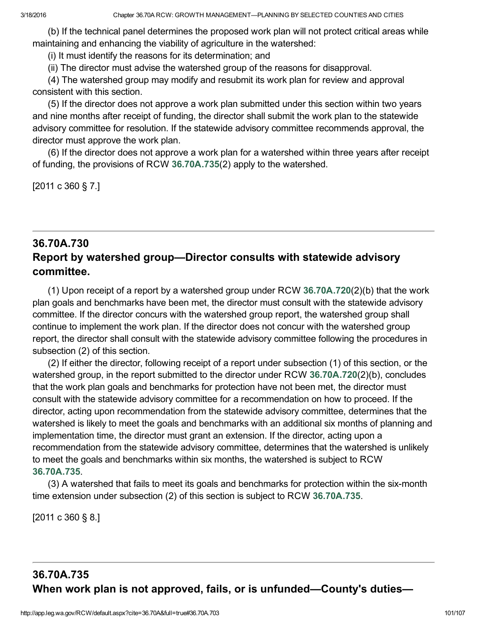(b) If the technical panel determines the proposed work plan will not protect critical areas while maintaining and enhancing the viability of agriculture in the watershed:

(i) It must identify the reasons for its determination; and

(ii) The director must advise the watershed group of the reasons for disapproval.

(4) The watershed group may modify and resubmit its work plan for review and approval consistent with this section.

(5) If the director does not approve a work plan submitted under this section within two years and nine months after receipt of funding, the director shall submit the work plan to the statewide advisory committee for resolution. If the statewide advisory committee recommends approval, the director must approve the work plan.

(6) If the director does not approve a work plan for a watershed within three years after receipt of funding, the provisions of RCW [36.70A.735](#page-7-0)(2) apply to the watershed.

[2011 c 360 § 7.]

## <span id="page-7-1"></span>36.70A.730 Report by watershed group—Director consults with statewide advisory committee.

(1) Upon receipt of a report by a watershed group under RCW [36.70A.720](#page-5-0)(2)(b) that the work plan goals and benchmarks have been met, the director must consult with the statewide advisory committee. If the director concurs with the watershed group report, the watershed group shall continue to implement the work plan. If the director does not concur with the watershed group report, the director shall consult with the statewide advisory committee following the procedures in subsection (2) of this section.

(2) If either the director, following receipt of a report under subsection (1) of this section, or the watershed group, in the report submitted to the director under RCW [36.70A.720](#page-5-0)(2)(b), concludes that the work plan goals and benchmarks for protection have not been met, the director must consult with the statewide advisory committee for a recommendation on how to proceed. If the director, acting upon recommendation from the statewide advisory committee, determines that the watershed is likely to meet the goals and benchmarks with an additional six months of planning and implementation time, the director must grant an extension. If the director, acting upon a recommendation from the statewide advisory committee, determines that the watershed is unlikely to meet the goals and benchmarks within six months, the watershed is subject to RCW [36.70A.735](#page-7-0).

(3) A watershed that fails to meet its goals and benchmarks for protection within the six-month time extension under subsection (2) of this section is subject to RCW [36.70A.735](#page-7-0).

[2011 c 360 § 8.]

# <span id="page-7-0"></span>36.70A.735 When work plan is not approved, fails, or is unfunded—County's duties—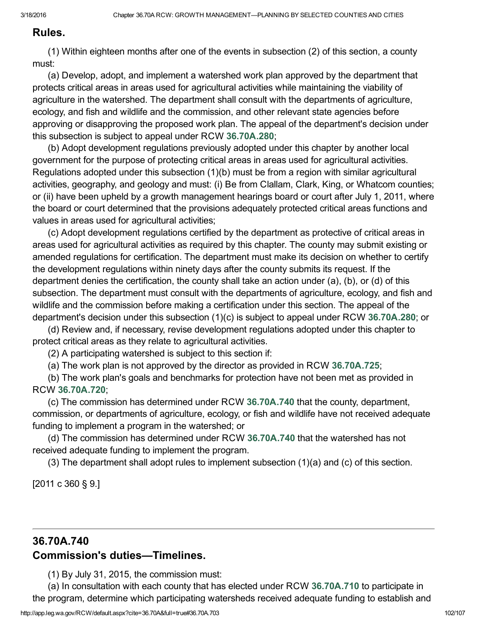#### Rules.

(1) Within eighteen months after one of the events in subsection (2) of this section, a county must:

(a) Develop, adopt, and implement a watershed work plan approved by the department that protects critical areas in areas used for agricultural activities while maintaining the viability of agriculture in the watershed. The department shall consult with the departments of agriculture, ecology, and fish and wildlife and the commission, and other relevant state agencies before approving or disapproving the proposed work plan. The appeal of the department's decision under this subsection is subject to appeal under RCW [36.70A.280](#page--1-2);

(b) Adopt development regulations previously adopted under this chapter by another local government for the purpose of protecting critical areas in areas used for agricultural activities. Regulations adopted under this subsection (1)(b) must be from a region with similar agricultural activities, geography, and geology and must: (i) Be from Clallam, Clark, King, or Whatcom counties; or (ii) have been upheld by a growth management hearings board or court after July 1, 2011, where the board or court determined that the provisions adequately protected critical areas functions and values in areas used for agricultural activities;

(c) Adopt development regulations certified by the department as protective of critical areas in areas used for agricultural activities as required by this chapter. The county may submit existing or amended regulations for certification. The department must make its decision on whether to certify the development regulations within ninety days after the county submits its request. If the department denies the certification, the county shall take an action under (a), (b), or (d) of this subsection. The department must consult with the departments of agriculture, ecology, and fish and wildlife and the commission before making a certification under this section. The appeal of the department's decision under this subsection (1)(c) is subject to appeal under RCW [36.70A.280;](#page--1-2) or

(d) Review and, if necessary, revise development regulations adopted under this chapter to protect critical areas as they relate to agricultural activities.

(2) A participating watershed is subject to this section if:

(a) The work plan is not approved by the director as provided in RCW [36.70A.725](#page-6-0);

(b) The work plan's goals and benchmarks for protection have not been met as provided in RCW [36.70A.720](#page-5-0);

(c) The commission has determined under RCW [36.70A.740](#page-8-0) that the county, department, commission, or departments of agriculture, ecology, or fish and wildlife have not received adequate funding to implement a program in the watershed; or

(d) The commission has determined under RCW [36.70A.740](#page-8-0) that the watershed has not received adequate funding to implement the program.

(3) The department shall adopt rules to implement subsection (1)(a) and (c) of this section.

[2011 c 360 § 9.]

# <span id="page-8-0"></span>36.70A.740 Commission's duties—Timelines.

(1) By July 31, 2015, the commission must:

(a) In consultation with each county that has elected under RCW [36.70A.710](#page-3-0) to participate in the program, determine which participating watersheds received adequate funding to establish and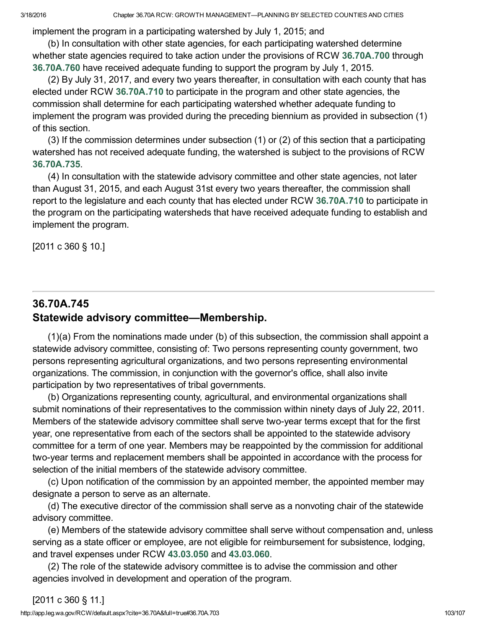implement the program in a participating watershed by July 1, 2015; and

(b) In consultation with other state agencies, for each participating watershed determine whether state agencies required to take action under the provisions of RCW [36.70A.700](#page-0-0) through [36.70A.760](#page-10-0) have received adequate funding to support the program by July 1, 2015.

(2) By July 31, 2017, and every two years thereafter, in consultation with each county that has elected under RCW [36.70A.710](#page-3-0) to participate in the program and other state agencies, the commission shall determine for each participating watershed whether adequate funding to implement the program was provided during the preceding biennium as provided in subsection (1) of this section.

(3) If the commission determines under subsection (1) or (2) of this section that a participating watershed has not received adequate funding, the watershed is subject to the provisions of RCW [36.70A.735](#page-7-0).

(4) In consultation with the statewide advisory committee and other state agencies, not later than August 31, 2015, and each August 31st every two years thereafter, the commission shall report to the legislature and each county that has elected under RCW [36.70A.710](#page-3-0) to participate in the program on the participating watersheds that have received adequate funding to establish and implement the program.

[2011 c 360 § 10.]

# <span id="page-9-0"></span>36.70A.745 Statewide advisory committee—Membership.

(1)(a) From the nominations made under (b) of this subsection, the commission shall appoint a statewide advisory committee, consisting of: Two persons representing county government, two persons representing agricultural organizations, and two persons representing environmental organizations. The commission, in conjunction with the governor's office, shall also invite participation by two representatives of tribal governments.

(b) Organizations representing county, agricultural, and environmental organizations shall submit nominations of their representatives to the commission within ninety days of July 22, 2011. Members of the statewide advisory committee shall serve two-year terms except that for the first year, one representative from each of the sectors shall be appointed to the statewide advisory committee for a term of one year. Members may be reappointed by the commission for additional two-year terms and replacement members shall be appointed in accordance with the process for selection of the initial members of the statewide advisory committee.

(c) Upon notification of the commission by an appointed member, the appointed member may designate a person to serve as an alternate.

(d) The executive director of the commission shall serve as a nonvoting chair of the statewide advisory committee.

(e) Members of the statewide advisory committee shall serve without compensation and, unless serving as a state officer or employee, are not eligible for reimbursement for subsistence, lodging, and travel expenses under RCW [43.03.050](http://app.leg.wa.gov/RCW/default.aspx?cite=43.03.050) and [43.03.060.](http://app.leg.wa.gov/RCW/default.aspx?cite=43.03.060)

(2) The role of the statewide advisory committee is to advise the commission and other agencies involved in development and operation of the program.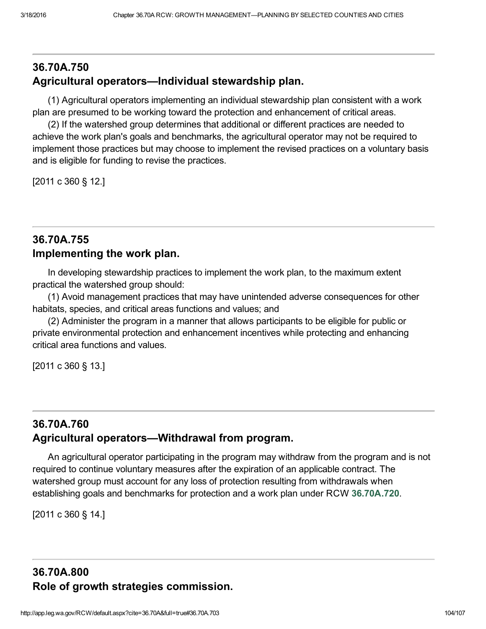## 36.70A.750 Agricultural operators—Individual stewardship plan.

(1) Agricultural operators implementing an individual stewardship plan consistent with a work plan are presumed to be working toward the protection and enhancement of critical areas.

(2) If the watershed group determines that additional or different practices are needed to achieve the work plan's goals and benchmarks, the agricultural operator may not be required to implement those practices but may choose to implement the revised practices on a voluntary basis and is eligible for funding to revise the practices.

[2011 c 360 § 12.]

#### 36.70A.755 Implementing the work plan.

In developing stewardship practices to implement the work plan, to the maximum extent practical the watershed group should:

(1) Avoid management practices that may have unintended adverse consequences for other habitats, species, and critical areas functions and values; and

(2) Administer the program in a manner that allows participants to be eligible for public or private environmental protection and enhancement incentives while protecting and enhancing critical area functions and values.

[2011 c 360 § 13.]

## <span id="page-10-0"></span>36.70A.760 Agricultural operators—Withdrawal from program.

An agricultural operator participating in the program may withdraw from the program and is not required to continue voluntary measures after the expiration of an applicable contract. The watershed group must account for any loss of protection resulting from withdrawals when establishing goals and benchmarks for protection and a work plan under RCW [36.70A.720](#page-5-0).

[2011 c 360 § 14.]

## 36.70A.800 Role of growth strategies commission.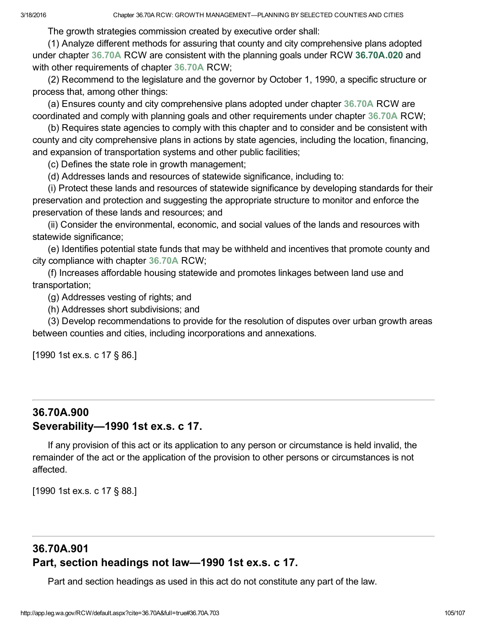The growth strategies commission created by executive order shall:

(1) Analyze different methods for assuring that county and city comprehensive plans adopted under chapter [36.70A](http://app.leg.wa.gov/RCW/default.aspx?cite=36.70A) RCW are consistent with the planning goals under RCW [36.70A.020](#page--1-4) and with other requirements of chapter [36.70A](http://app.leg.wa.gov/RCW/default.aspx?cite=36.70A) RCW;

(2) Recommend to the legislature and the governor by October 1, 1990, a specific structure or process that, among other things:

(a) Ensures county and city comprehensive plans adopted under chapter [36.70A](http://app.leg.wa.gov/RCW/default.aspx?cite=36.70A) RCW are coordinated and comply with planning goals and other requirements under chapter [36.70A](http://app.leg.wa.gov/RCW/default.aspx?cite=36.70A) RCW;

(b) Requires state agencies to comply with this chapter and to consider and be consistent with county and city comprehensive plans in actions by state agencies, including the location, financing, and expansion of transportation systems and other public facilities;

(c) Defines the state role in growth management;

(d) Addresses lands and resources of statewide significance, including to:

(i) Protect these lands and resources of statewide significance by developing standards for their preservation and protection and suggesting the appropriate structure to monitor and enforce the preservation of these lands and resources; and

(ii) Consider the environmental, economic, and social values of the lands and resources with statewide significance;

(e) Identifies potential state funds that may be withheld and incentives that promote county and city compliance with chapter [36.70A](http://app.leg.wa.gov/RCW/default.aspx?cite=36.70A) RCW;

(f) Increases affordable housing statewide and promotes linkages between land use and transportation;

(g) Addresses vesting of rights; and

(h) Addresses short subdivisions; and

(3) Develop recommendations to provide for the resolution of disputes over urban growth areas between counties and cities, including incorporations and annexations.

[1990 1st ex.s. c 17 § 86.]

## 36.70A.900 Severability—1990 1st ex.s. c 17.

If any provision of this act or its application to any person or circumstance is held invalid, the remainder of the act or the application of the provision to other persons or circumstances is not affected.

[1990 1st ex.s. c 17 § 88.]

## 36.70A.901 Part, section headings not law—1990 1st ex.s. c 17.

Part and section headings as used in this act do not constitute any part of the law.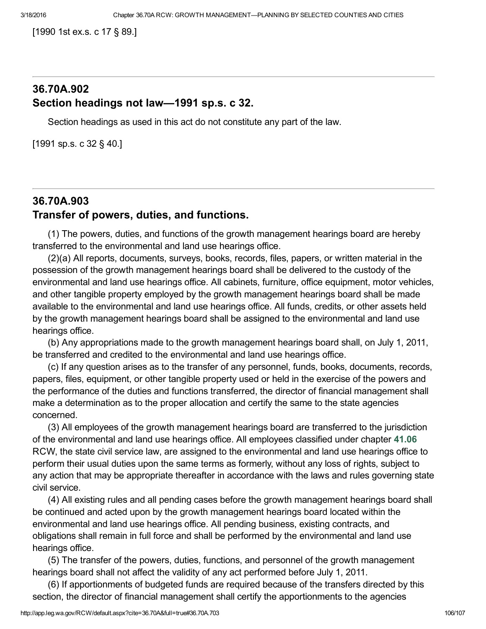[1990 1st ex.s. c 17 § 89.]

#### 36.70A.902 Section headings not law—1991 sp.s. c 32.

Section headings as used in this act do not constitute any part of the law.

[1991 sp.s. c 32 § 40.]

## 36.70A.903 Transfer of powers, duties, and functions.

(1) The powers, duties, and functions of the growth management hearings board are hereby transferred to the environmental and land use hearings office.

(2)(a) All reports, documents, surveys, books, records, files, papers, or written material in the possession of the growth management hearings board shall be delivered to the custody of the environmental and land use hearings office. All cabinets, furniture, office equipment, motor vehicles, and other tangible property employed by the growth management hearings board shall be made available to the environmental and land use hearings office. All funds, credits, or other assets held by the growth management hearings board shall be assigned to the environmental and land use hearings office.

(b) Any appropriations made to the growth management hearings board shall, on July 1, 2011, be transferred and credited to the environmental and land use hearings office.

(c) If any question arises as to the transfer of any personnel, funds, books, documents, records, papers, files, equipment, or other tangible property used or held in the exercise of the powers and the performance of the duties and functions transferred, the director of financial management shall make a determination as to the proper allocation and certify the same to the state agencies concerned.

(3) All employees of the growth management hearings board are transferred to the jurisdiction of the environmental and land use hearings office. All employees classified under chapter [41.06](http://app.leg.wa.gov/RCW/default.aspx?cite=41.06) RCW, the state civil service law, are assigned to the environmental and land use hearings office to perform their usual duties upon the same terms as formerly, without any loss of rights, subject to any action that may be appropriate thereafter in accordance with the laws and rules governing state civil service.

(4) All existing rules and all pending cases before the growth management hearings board shall be continued and acted upon by the growth management hearings board located within the environmental and land use hearings office. All pending business, existing contracts, and obligations shall remain in full force and shall be performed by the environmental and land use hearings office.

(5) The transfer of the powers, duties, functions, and personnel of the growth management hearings board shall not affect the validity of any act performed before July 1, 2011.

(6) If apportionments of budgeted funds are required because of the transfers directed by this section, the director of financial management shall certify the apportionments to the agencies